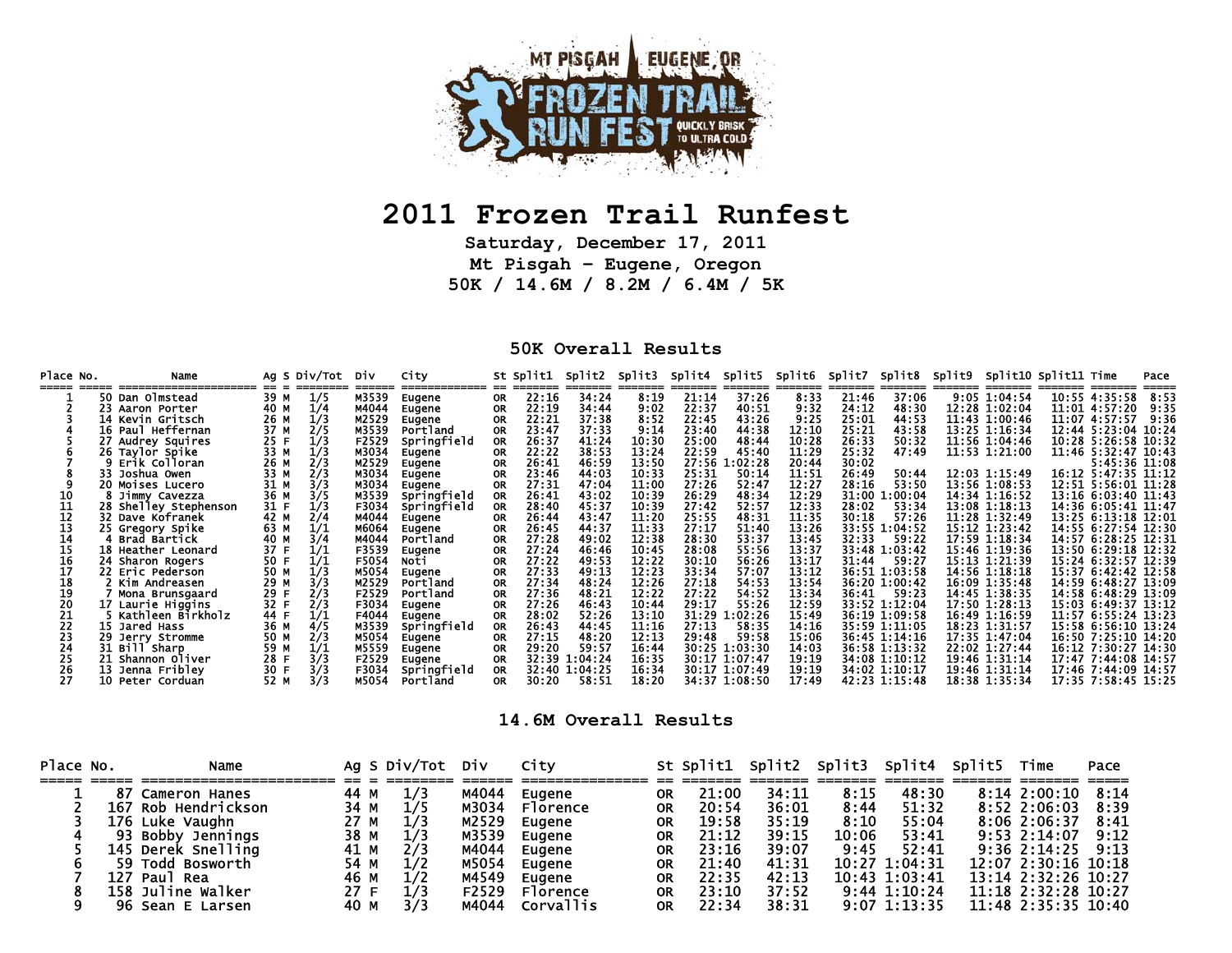

## **2011 Frozen Trail Runfest**

**Saturday, December 17, 2011 Mt Pisgah – Eugene, Oregon 50K / 14.6M / 8.2M / 6.4M / 5K** 

## **50K Overall Results**

| Place No. | Name                                                      |             |            | Ag S Div/Tot Div |                         | City                              |                | St Split1 | Split2                                  | Split3                  | Split4 | Split5                                          | Split6 Split7           |         | Split8                                          |                                                 | Split9 Split10 Split11 Time |                                                                   | Pace  |
|-----------|-----------------------------------------------------------|-------------|------------|------------------|-------------------------|-----------------------------------|----------------|-----------|-----------------------------------------|-------------------------|--------|-------------------------------------------------|-------------------------|---------|-------------------------------------------------|-------------------------------------------------|-----------------------------|-------------------------------------------------------------------|-------|
|           | 50 Dan Olmstead                                           | 39 M        | 1/5        |                  | M3539                   | Eugene                            | 0R.            | 22:16     | 34:24                                   | 8:19                    | 21:14  | 37:26                                           | 8:33                    | 21.46   | 37.06                                           | 9:05 1:04:54                                    |                             | 10:55 4:35:58                                                     | 8:53  |
|           | 23 Aaron Porter                                           | 40 M        | 1/4        |                  | M4044                   | Eugene                            | <b>OR</b>      | 22:19     | 34:44                                   | 9:02                    | 22:37  | 40:51                                           | 9:32                    | 24:12   | 48:30                                           | 12:28 1:02:04                                   |                             | 11:01 4:57:20                                                     | 9:35  |
|           | 14 Kevin Gritsch                                          | 26 M        | 1/3        |                  | M2529                   | Eugene                            | 0R             | 22:21     | 37:38                                   | 8:52                    | 22:45  | 43.26                                           | 9:25                    | 25:01   | 44:53                                           | 11:43 1:00:46                                   |                             | 11:07 4:57:57                                                     | 9:36  |
|           | Paul Heffernan<br>16.                                     | 37 M        | 2/5        |                  | M3539                   | Portland                          | 0R             | 23:47     | 37:33                                   | 9:14                    | 23:40  | 44:38                                           | 12:10                   | 25:21   | 43:58                                           | 13:25 1:16:34                                   |                             | 12:44 5:23:04                                                     | 10:24 |
|           | 27 Audrey Squires                                         | 25 F        | 1/3        |                  | F2529                   | Springfield                       | <b>OR</b>      | 26:37     | 41:24                                   | 10:30                   | 25:00  | 48:44                                           | 10:28                   | 26:33   | 50:32                                           | 11:56 1:04:46                                   |                             | 10:28 5:26:58 10:32                                               |       |
|           | 26 Taylor Spike                                           | 33 M        | 1/3        |                  | M3034                   | Eugene                            | 0R             | 22:22     | 38:53                                   | 13:24                   | 22:59  | 45:40                                           | 11:29                   | 25:32   | 47:49                                           | 11:53 1:21:00                                   |                             | 11:46 5:32:47 10:43                                               |       |
|           | 9 Erik Colloran                                           | 26 M        | 2/3        |                  | M2529                   | Eugene                            | <b>OR</b>      | 26:41     | 46:59                                   | 13:50                   | 27:56  | 1:02:28                                         | 20:44                   | 30:02   |                                                 |                                                 |                             | 5:45:36 11:08                                                     |       |
|           | 33 Joshua Owen                                            | 33 M        | 2/3        |                  | M3034                   | Eugene                            | <b>OR</b>      | 23:46     | 44:03                                   | 10:33                   | 25:31  | 50:14                                           | 11:51                   | 26:49   | 50:44                                           | 12:03 1:15:49                                   |                             | 16:12 5:47:35 11:12                                               |       |
|           | 20 Moises Lucero                                          | 31 M        | 3/3        |                  | M3034                   | Eugene                            | <b>OR</b>      | 27:31     | 47:04                                   | 11:00                   | 27:26  | 52:47                                           | 12:27                   | 28:16   | 53:50                                           | 13:56 1:08:53                                   |                             | 12:51 5:56:01 11:28                                               |       |
|           | 8 Jimmy Cavezza                                           | 36 M        | 3/5        |                  | M3539                   | Springfield                       | 0R.            | 26:41     | 43:02                                   | 10:39                   | 26:29  | 48:34                                           | 12:29                   | 31:00 : | 1.00.04                                         | 14:34 1:16:52                                   |                             | 13:16 6:03:40 11:43                                               |       |
|           | 28 Shelley Stephenson                                     | 31 F        | 1/3        |                  | F3034                   | Springfield                       | <b>OR</b>      | 28:40     | 45:37                                   | 10:39                   | 27:42  | 52:57                                           | 12:33                   | 28:02   | 53:34                                           | 13:08 1:18:13                                   |                             | 14:36 6:05:41 11:47                                               |       |
|           | 32 Dave Kofranek                                          | 42 M        | 2/4        |                  | M4044                   | Eugene                            | 0R             | 26:44     | 43:47                                   | 11:20                   | 25:55  | 48:31                                           | 11:35                   | 30:18   | 57:26                                           | 11:28 1:32:49                                   |                             | 13:25 6:13:18 12:01                                               |       |
|           | 25 Gregory Spike                                          | 63 M        | 1/1        |                  | M6064                   | Eugene                            | OR             | 26:45     | 44:37                                   | 11:33                   | 27:17  | 51:40                                           | 13.26                   |         | 33:55 1:04:52                                   | 15:12 1:23:42                                   |                             | 14:55 6:27:54 12:30                                               |       |
|           | <b>Brad Bartick</b>                                       |             | 3/4        |                  | M4044                   | Portland                          | 0R.            | 27:28     | 49:02                                   | 12:38                   | 28:30  | 53:37                                           | 13:45                   | 32:33   | 59:22                                           | 17:59 1:18:34                                   |                             | 14:57 6:28:25 12:31                                               |       |
|           | <b>Heather Leonard</b>                                    | 37 F        | 1/1        |                  | F3539                   | Eugene                            | 0R             | 27:24     | 46:46                                   | 10:45                   | 28:08  | 55:56                                           | 13:37                   |         | 33:48 1:03:42                                   | 15:46 1:19:36                                   |                             | 13:50 6:29:18 12:32                                               |       |
|           | 24 Sharon Rogers                                          | 50 F        | 1/1        |                  | F5054                   | Noti                              | 0R             | 27:22     | 49:53                                   | 12:22                   | 30:10  | 56:26                                           | 13:17                   | 31.44   | 59.27                                           | 15:13 1:21:39                                   |                             | 15:24 6:32:57 12:39                                               |       |
|           | 22 Eric Pederson                                          | 50 M        | 1/3        |                  | M5054                   | Eugene                            | <b>OR</b>      | 27:33     | 49:13                                   | 12:23                   | 33:34  | 57:07                                           | 13:12                   |         | 36:51 1:03:58                                   | 14:56 1:18:18                                   |                             | 15:37 6:42:42 12:58                                               |       |
|           | .Kim Andreasen                                            | 29 M        | 3/3        |                  | M2529                   | Portland                          | <b>OR</b>      | 27:34     | 48:24                                   | 12:26                   | 27:18  | 54:53                                           | 13:54                   |         | 36:20 1:00:42                                   | 16:09 1:35:48                                   |                             | 14:59 6:48:27 13:09                                               |       |
|           | Mona Brunsgaard                                           | 29 F        | 2/3        |                  | F2529                   | Portland                          | 0R.            | 27.36     | 48:21                                   | 12:22                   | 27:22  | 54:52                                           | 13:34                   | 36.41   | 59:23                                           | 14:45 1:38:35                                   |                             | 14:58 6:48:29 13:09                                               |       |
|           | <b>17 Laurie Higgins</b>                                  | 32 F        | 2/3        |                  | F3034                   | Eugene                            | OR             | 27:26     | 46:43                                   | 10:44                   | 29:17  | 55:26                                           | 12:59                   |         | 33:52 1:12:04                                   | 17:50 1:28:13                                   |                             | 15:03 6:49:37 13:12                                               |       |
|           | Kathleen Birkholz                                         | 44 F        | 1/1        |                  | F4044                   | Eugene                            | 0R             | 28:02     | 52:26                                   | 13:10                   | 31:29  | 1:02:26                                         | 15:49                   |         | 36:19 1:09:58                                   | 16:49 1:16:59                                   |                             | 11:57 6:55:24 13:23                                               |       |
|           | <b>15 Jared Hass</b>                                      | 36 M        | 4/5        |                  | M3539                   | Springfield                       | 0R             | 26:43     | 44:45                                   | 11:16                   | 27:13  | 58:35                                           | 14:16                   |         | 35:59 1:11:05                                   | 18:23 1:31:57                                   |                             | 15:58 6:56:10 13:24                                               |       |
|           | 29 Jerry Stromme                                          | 50 M        | 2/3        |                  | M5054                   | Eugene                            | 0R             | 27:15     | 48:20                                   | 12:13                   | 29:48  | 59:58                                           | 15:06                   |         | 36:45 1:14:16                                   | 17:35 1:47:04                                   |                             | 16:50 7:25:10 14:20                                               |       |
|           | 31 Bill Sharp                                             | 59.         | 1/1        |                  | M5559                   | Eugene                            | 0R             | 29:20     | 59:57                                   | 16:44                   |        | 30:25 1:03:30                                   | 14:03                   |         | 36:58 1:13:32                                   | 22:02 1:27:44                                   |                             | 16:12 7:30:27 14:30                                               |       |
|           |                                                           |             |            |                  |                         |                                   |                |           |                                         |                         |        |                                                 |                         |         |                                                 |                                                 |                             |                                                                   |       |
|           |                                                           |             |            |                  |                         |                                   |                |           |                                         |                         |        |                                                 |                         |         |                                                 |                                                 |                             |                                                                   |       |
|           | 21 Shannon Oliver<br>13 Jenna Fribley<br>10 Peter Corduan | 28.<br>30 F | 3/3<br>3/3 |                  | F2529<br>F3034<br>M5054 | Eugene<br>Springfield<br>Portland | 0R<br>0R<br>0R | 30:20     | 32:39 1:04:24<br>32:40 1:04:25<br>58:51 | 16:35<br>16:34<br>18:20 |        | 30:17 1:07:47<br>30:17 1:07:49<br>34:37 1:08:50 | 19:19<br>19:19<br>17:49 |         | 34:08 1:10:12<br>34:02 1:10:17<br>42:23 1:15:48 | 19:46 1:31:14<br>19:46 1:31:14<br>18:38 1:35:34 |                             | 17:47 7:44:08 14:57<br>17:46 7:44:09 14:57<br>17:35 7:58:45 15:25 |       |

## **14.6M Overall Results**

| Place No. | Name                |      | Ag S Div/Tot | Div   | City            |           | St Split1 | Split2 | Split3 | Split4          | Split5 | Time                | Pace |
|-----------|---------------------|------|--------------|-------|-----------------|-----------|-----------|--------|--------|-----------------|--------|---------------------|------|
|           |                     |      |              |       |                 |           |           |        |        |                 |        |                     |      |
|           | 87 Cameron Hanes    | 44 M | 1/3          | M4044 | Eugene          | <b>OR</b> | 21:00     | 34:11  | 8:15   | 48:30           |        | $8:14$ 2:00:10      | 8:14 |
|           | 167 Rob Hendrickson | 34 M | 1/5          | M3034 | <b>Florence</b> | <b>OR</b> | 20:54     | 36:01  | 8:44   | 51:32           |        | $8:52$ 2:06:03      | 8:39 |
|           | 176 Luke Vaughn     | 27 M | 1/3          | M2529 | Eugene          | <b>OR</b> | 19:58     | 35:19  | 8:10   | 55:04           |        | 8:06 2:06:37        | 8:41 |
|           | 93 Bobby Jennings   | 38 M | 1/3          | M3539 | Eugene          | <b>OR</b> | 21:12     | 39:15  | 10:06  | 53:41           |        | $9:53$ $2:14:07$    | 9:12 |
|           | 145 Derek Snelling  | 41 M | 2/3          | M4044 | Eugene          | <b>OR</b> | 23:16     | 39:07  | 9:45   | 52:41           |        | $9:36$ 2:14:25      | 9:13 |
|           | 59 Todd Bosworth    | 54 M | 1/2          | M5054 | Eugene          | <b>OR</b> | 21:40     | 41:31  |        | $10:27$ 1:04:31 |        | 12:07 2:30:16 10:18 |      |
|           | 127 Paul Rea        | 46 M | 1/2          | M4549 | Eugene          | <b>OR</b> | 22:35     | 42:13  |        | $10:43$ 1:03:41 |        | 13:14 2:32:26 10:27 |      |
|           | 158 Juline Walker   | 27 F | 1/3          | F2529 | Florence        | <b>OR</b> | 23:10     | 37:52  |        | $9:44$ 1:10:24  |        | 11:18 2:32:28 10:27 |      |
|           | 96 Sean E Larsen    | 40 M | 3/3          | M4044 | Corvallis       | <b>OR</b> | 22:34     | 38:31  |        | 9:07 1:13:35    |        | 11:48 2:35:35 10:40 |      |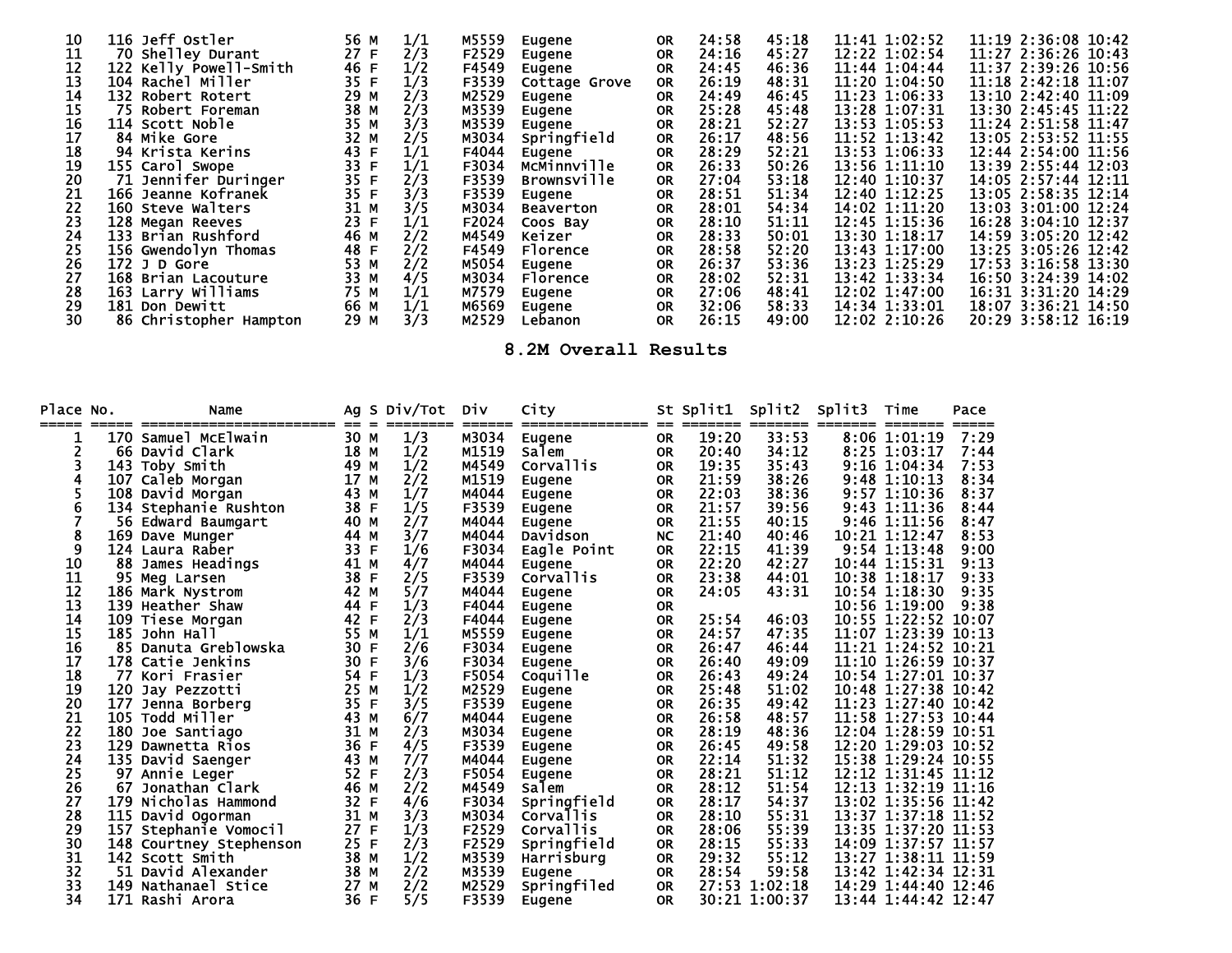| 10 | 116 Jeff Ostler        | 56 M | 1/1 | M5559 | Eugene             | <b>OR</b> | 24:58 | 45:18 | 11:41 1:02:52 | 11:19 2:36:08 10:42 |
|----|------------------------|------|-----|-------|--------------------|-----------|-------|-------|---------------|---------------------|
| 11 | 70 Shelley Durant      | 27 F | 2/3 | F2529 | Eugene             | <b>OR</b> | 24:16 | 45:27 | 12:22 1:02:54 | 11:27 2:36:26 10:43 |
| 12 | 122 Kelly Powell-Smith | 46 F | 1/2 | F4549 | Eugene             | <b>OR</b> | 24:45 | 46:36 | 11:44 1:04:44 | 11:37 2:39:26 10:56 |
| 13 | 104 Rachel Miller      | 35 F | 1/3 | F3539 | Cottage Grove      | <b>OR</b> | 26:19 | 48:31 | 11:20 1:04:50 | 11:18 2:42:18 11:07 |
| 14 | 132 Robert Rotert      | 29 M | 2/3 | M2529 | Eugene             | <b>OR</b> | 24:49 | 46:45 | 11:23 1:06:33 | 13:10 2:42:40 11:09 |
| 15 | 75 Robert Foreman      | 38 M | 2/3 | M3539 | Eugene             | <b>OR</b> | 25:28 | 45:48 | 13:28 1:07:31 | 13:30 2:45:45 11:22 |
| 16 | 114 Scott Noble        | 35 M | 3/3 | M3539 | Eugene             | <b>OR</b> | 28:21 | 52:27 | 13:53 1:05:53 | 11:24 2:51:58 11:47 |
| 17 | 84 Mike Gore           | 32 M | 2/5 | M3034 | Springfield        | <b>OR</b> | 26:17 | 48:56 | 11:52 1:13:42 | 13:05 2:53:52 11:55 |
| 18 | 94 Krista Kerins       | 43 F | 1/1 | F4044 | Eugene             | <b>OR</b> | 28:29 | 52:21 | 13:53 1:06:33 | 12:44 2:54:00 11:56 |
| 19 | 155 Carol Swope        | 33 F | 1/1 | F3034 | <b>MCMinnville</b> | <b>OR</b> | 26:33 | 50:26 | 13:56 1:11:10 | 13:39 2:55:44 12:03 |
| 20 | 71 Jennifer Duringer   | 35 F | 2/3 | F3539 | <b>Brownsville</b> | <b>OR</b> | 27:04 | 53:18 | 12:40 1:10:37 | 14:05 2:57:44 12:11 |
| 21 | 166 Jeanne Kofranek    | 35 F | 3/3 | F3539 | Eugene             | <b>OR</b> | 28:51 | 51:34 | 12:40 1:12:25 | 13:05 2:58:35 12:14 |
| 22 | 160 Steve Walters      | 31 M | 3/5 | M3034 | <b>Beaverton</b>   | <b>OR</b> | 28:01 | 54:34 | 14:02 1:11:20 | 13:03 3:01:00 12:24 |
| 23 | 128 Megan Reeves       | 23 F | 1/1 | F2024 | Coos Bay           | <b>OR</b> | 28:10 | 51:11 | 12:45 1:15:36 | 16:28 3:04:10 12:37 |
| 24 | 133 Brian Rushford     | 46 M | 2/2 | M4549 | Keizer             | <b>OR</b> | 28:33 | 50:01 | 13:30 1:18:17 | 14:59 3:05:20 12:42 |
| 25 | 156 Gwendolyn Thomas   | 48 F | 2/2 | F4549 | Florence           | <b>OR</b> | 28:58 | 52:20 | 13:43 1:17:00 | 13:25 3:05:26 12:42 |
| 26 | $172$ J D Gore         | 53 M | 2/2 | M5054 | Eugene             | <b>OR</b> | 26:37 | 53:36 | 13:23 1:25:29 | 17:53 3:16:58 13:30 |
| 27 | 168 Brian Lacouture    | 33 M | 4/5 | M3034 | Florence           | <b>OR</b> | 28:02 | 52:31 | 13:42 1:33:34 | 16:50 3:24:39 14:02 |
| 28 | 163 Larry Williams     | 75 M | 1/1 | M7579 | Eugene             | <b>OR</b> | 27:06 | 48:41 | 12:02 1:47:00 | 16:31 3:31:20 14:29 |
| 29 | 181 Don Dewitt         | 66 M | 1/1 | M6569 | Eugene             | <b>OR</b> | 32:06 | 58:33 | 14:34 1:33:01 | 18:07 3:36:21 14:50 |
| 30 | 86 Christopher Hampton | 29 M | 3/3 | M2529 | Lebanon            | <b>OR</b> | 26:15 | 49:00 | 12:02 2:10:26 | 20:29 3:58:12 16:19 |

**8.2M Overall Results** 

| Place No. |     | Name                                        |              | Ag S Div/Tot | Div   | City                          |                        | St Split1 | Split2        | Split3 | Time                                       | Pace  |
|-----------|-----|---------------------------------------------|--------------|--------------|-------|-------------------------------|------------------------|-----------|---------------|--------|--------------------------------------------|-------|
| =====     |     | 170 Samuel McElwain                         | 30 M         | 1/3          | M3034 | Eugene                        | <b>OR</b>              | 19:20     | 33:53         |        | 8:06 1:01:19                               | 7:29  |
| 2         |     | 66 David Clark                              | 18 M         | 1/2          | M1519 | Salem                         | <b>OR</b>              | 20:40     | 34:12         |        | 8:25 1:03:17                               | 7:44  |
|           |     | 143 Toby Smith                              | 49 M         | 1/2          | M4549 | Corvallis                     | <b>OR</b>              | 19:35     | 35:43         |        | 9:16 1:04:34                               | 7:53  |
|           | 107 | Caleb Morgan                                | 17 M         | 2/2          | M1519 | Eugene                        | <b>OR</b>              | 21:59     | 38:26         |        | $9:48$ 1:10:13                             | 8:34  |
|           | 108 | David Morgan                                | 43 M         | 1/7          | M4044 | Eugene                        | <b>OR</b>              | 22:03     | 38:36         |        | 9:57 1:10:36                               | 8:37  |
| 6         |     |                                             | 38<br>E      | 1/5          | F3539 |                               | <b>OR</b>              | 21:57     | 39:56         |        | 9:43 1:11:36                               | 8:44  |
|           |     | 134 Stephanie Rushton<br>56 Edward Baumgart | 40 M         | 2/7          | M4044 | Eugene                        | <b>OR</b>              | 21:55     | 40:15         |        | 9:46 1:11:56                               | 8:47  |
| 8         | 169 | Dave Munger                                 | 44 M         | 3/7          | M4044 | <b>Eugene</b><br>Davidson     | <b>NC</b>              | 21:40     | 40:46         |        | 10:21 1:12:47                              | 8:53  |
| 9         |     | 124 Laura Raber                             | 33<br>F      | 1/6          | F3034 | Eagle Point                   | <b>OR</b>              | 22:15     | 41:39         |        | $9:54$ 1:13:48                             | 9:00  |
| 10        | 88  |                                             | 41<br>M      | 4/7          | M4044 |                               | <b>OR</b>              | 22:20     | 42:27         |        | 10:44 1:15:31                              | 9:13  |
| 11        | 95  | James Headings<br>Meg Larsen                | 38<br>F      | 2/5          | F3539 | Eugene<br><b>Corvallis</b>    | <b>OR</b>              | 23:38     | 44:01         |        | 10:38 1:18:17                              | 9:33  |
| 12        |     | 186 Mark Nystrom                            | 42<br>M      | 5/7          | M4044 | Eugene                        | <b>OR</b>              | 24:05     | 43:31         |        | 10:54 1:18:30                              | 9:35  |
| 13        |     | 139 Heather Shaw                            | 44<br>F      | 1/3          | F4044 | Eugene                        | <b>OR</b>              |           |               |        | 10:56 1:19:00                              | 9:38  |
| 14        | 109 |                                             | 42<br>F      | 2/3          | F4044 |                               | <b>OR</b>              | 25:54     | 46:03         |        | 10:55 1:22:52 10:07                        |       |
| 15        | 185 | Tiese Morgan<br>John Hall                   | 55<br>М      | 1/1          | M5559 | Eugene                        | <b>OR</b>              | 24:57     | 47:35         |        | 11:07 1:23:39                              | 10:13 |
| 16        | 85  | Danuta Greblowska                           | 30<br>F      | 2/6          | F3034 | Eugene                        | <b>OR</b>              | 26:47     | 46:44         |        | 11:21 1:24:52 10:21                        |       |
| 17        |     | 178 Catie Jenkins                           | 30<br>F      | 3/6          | F3034 | Eugene<br>Eugene              | <b>OR</b>              | 26:40     | 49:09         |        | 11:10 1:26:59 10:37                        |       |
| 18        |     | 77 Kori Frasier                             | 54<br>F      | 1/3          | F5054 | Coquille                      | <b>OR</b>              | 26:43     | 49:24         |        | 10:54 1:27:01 10:37                        |       |
| 19        | 120 | Jay Pezzotti                                | 25 M         | 1/2          | M2529 |                               | <b>OR</b>              | 25:48     | 51:02         |        | 10:48 1:27:38 10:42                        |       |
| 20        | 177 | Jenna Borberg                               | 35 F         | 3/5          | F3539 | Eugene                        | <b>OR</b>              | 26:35     | 49:42         |        | 11:23 1:27:40 10:42                        |       |
| 21        |     | 105 Todd Miller                             | 43 M         | 6/7          | M4044 | Eugene                        | <b>OR</b>              | 26:58     | 48:57         |        | 11:58 1:27:53                              | 10:44 |
| 22        | 180 | Joe Santiago                                | 31<br>м      | 2/3          | M3034 | Eugene                        | <b>OR</b>              | 28:19     | 48:36         |        | 12:04 1:28:59                              | 10:51 |
| 23        | 129 | Dawnetta Rios                               | 36<br>F      | 4/5          | F3539 | Eugene                        | <b>OR</b>              | 26:45     | 49:58         |        | 12:20 1:29:03                              | 10:52 |
| 24        | 135 | David Saenger                               | 43<br>M      | 7/7          | M4044 | Eugene                        |                        | 22:14     | 51:32         |        | 15:38 1:29:24                              | 10:55 |
| 25        | 97  |                                             | 52<br>F      | 2/3          | F5054 | Eugene                        | <b>OR</b>              | 28:21     | 51:12         |        | 12:12 1:31:45 11:12                        |       |
| 26        | 67  | Annie Leger<br>Jonathan Clark               | 46 M         | 2/2          | M4549 | Eugene<br>Salem               | <b>OR</b><br><b>OR</b> | 28:12     | 51:54         |        | 12:13 1:32:19                              | 11:16 |
| 27        | 179 | Nicholas Hammond                            | 32<br>F      | 4/6          | F3034 |                               |                        | 28:17     | 54:37         |        | 13:02 1:35:56 11:42                        |       |
| 28        | 115 |                                             | 31<br>М      | 3/3          | M3034 | Springfield                   | <b>OR</b><br><b>OR</b> | 28:10     | 55:31         |        | 13:37 1:37:18 11:52                        |       |
| 29        | 157 | David Ogorman                               | 27           |              | F2529 | Corvallis<br><b>Corvallis</b> |                        | 28:06     | 55:39         |        |                                            |       |
| 30        |     | Stephanie Vomocil                           | F<br>25<br>F | 1/3          | F2529 |                               | <b>OR</b>              | 28:15     | 55:33         |        | 13:35 1:37:20 11:53<br>14:09 1:37:57 11:57 |       |
|           |     | 148 Courtney Stephenson                     |              | 2/3          |       | Springfield                   | <b>OR</b>              |           | 55:12         |        |                                            |       |
| 31        |     | 142 Scott Smith                             | 38 M         | 1/2          | M3539 | Harrisburg                    | <b>OR</b>              | 29:32     |               |        | 13:27 1:38:11 11:59                        |       |
| 32        | 51  | David Alexander                             | 38 M         | 2/2          | M3539 | Eugene                        | 0R                     | 28:54     | 59:58         |        | 13:42 1:42:34                              | 12:31 |
| 33        | 149 | Nathanael Stice                             | 27 M         | 2/2          | M2529 | Springfiled                   | <b>OR</b>              |           | 27:53 1:02:18 |        | 14:29 1:44:40                              | 12:46 |
| 34        |     | 171 Rashi Arora                             | 36 F         | 5/5          | F3539 | Eugene                        | <b>OR</b>              |           | 30:21 1:00:37 |        | 13:44 1:44:42 12:47                        |       |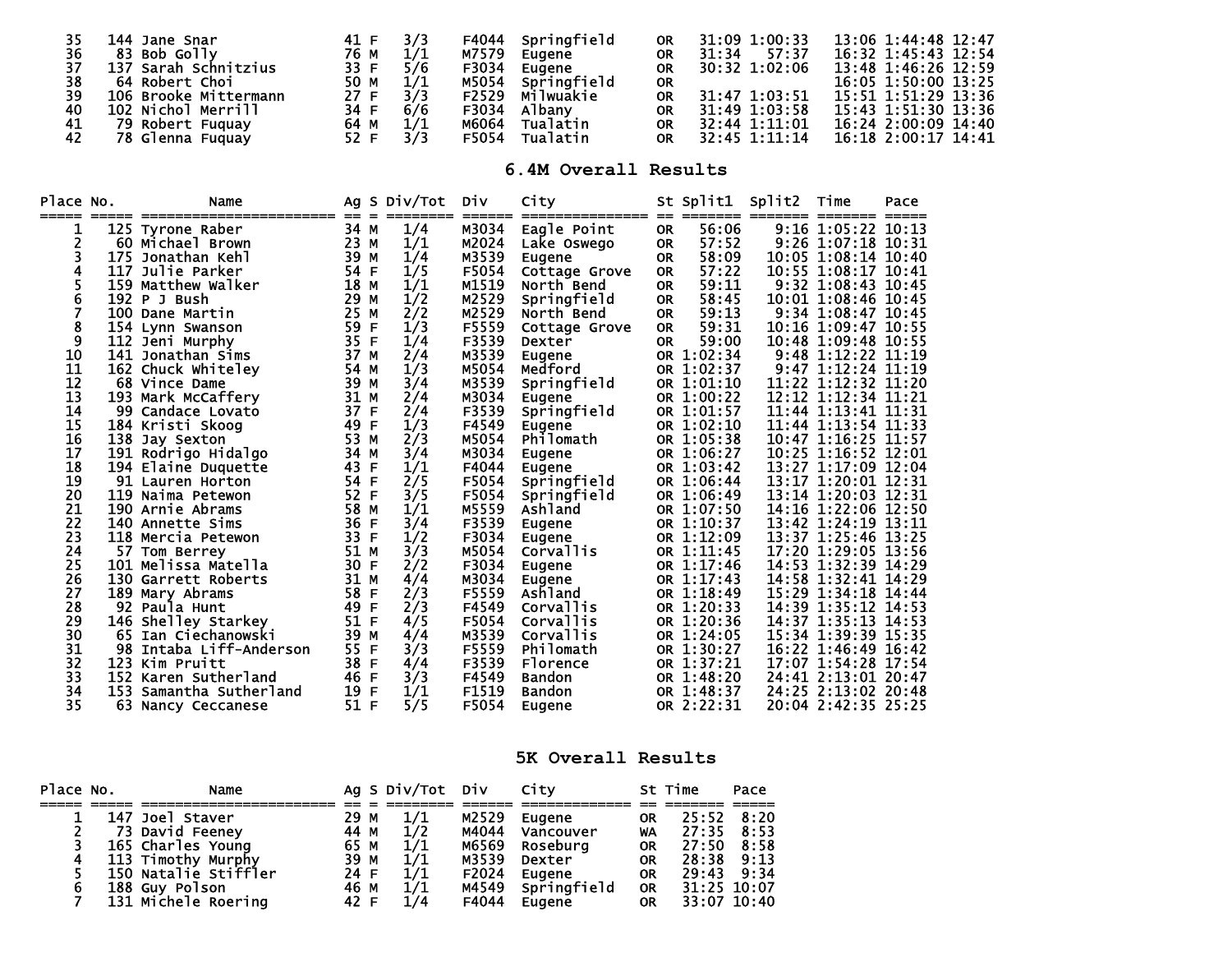| 35 | 144 Jane Snar         | 41 F |     | Springfield<br>F4044 | <b>OR</b> | 31:09 1:00:33  | 13:06 1:44:48 12:47 |
|----|-----------------------|------|-----|----------------------|-----------|----------------|---------------------|
| 36 | 83 Bob Golly          | 76 M |     | M7579<br>Eugene      | <b>OR</b> | 57:37<br>31:34 | 16:32 1:45:43 12:54 |
| 37 | 137 Sarah Schnitzius  | 33 F | 5/6 | F3034<br>Eugene      | <b>OR</b> | 30:32 1:02:06  | 13:48 1:46:26 12:59 |
| 38 | 64 Robert Choi        | 50 M |     | Springfield<br>M5054 | <b>OR</b> |                | 16:05 1:50:00 13:25 |
| 39 | 106 Brooke Mittermann | 27 F |     | Milwuakie<br>F2529   | <b>OR</b> | 31:47 1:03:51  | 15:51 1:51:29 13:36 |
| 40 | 102 Nichol Merrill    | 34 F | 6/6 | F3034<br>Albanv      | <b>OR</b> | 31:49 1:03:58  | 15:43 1:51:30 13:36 |
| 41 | 79 Robert Fuquay      | 64 M |     | м6064<br>Tualatin    | <b>OR</b> | 32:44 1:11:01  | 16:24 2:00:09 14:40 |
| 42 | 78 Glenna Fuquay      | 52 F |     | F5054<br>Tualatin    | <b>OR</b> | 32:45 1:11:14  | 16:18 2:00:17 14:41 |

**6.4M Overall Results**

| Place No.<br>===== |     | Name<br>____________    | $=$  | $=$ | Ag S Div/Tot | Div   | City<br>========== |           |              | St Split1 Split2 Time |                     | Pace  |
|--------------------|-----|-------------------------|------|-----|--------------|-------|--------------------|-----------|--------------|-----------------------|---------------------|-------|
|                    |     | 125 Tyrone Raber        | 34 M |     | 1/4          | M3034 | Eagle Point        | <b>OR</b> | 56:06        |                       | 9:16 1:05:22        | 10:13 |
| 2                  |     | 60 Michael Brown        | 23   | M   | 1/1          | M2024 | Lake Oswego        | <b>OR</b> | 57:52        |                       | 9:26 1:07:18 10:31  |       |
| 3                  | 175 | Jonathan Kehl           | 39   | М   | 1/4          | M3539 | Eugene             | <b>OR</b> | 58:09        |                       | 10:05 1:08:14 10:40 |       |
| 4                  |     | 117 Julie Parker        | 54 F |     | 1/5          | F5054 | Cottage Grove      | <b>OR</b> | 57:22        |                       | 10:55 1:08:17 10:41 |       |
| 5                  |     | 159 Matthew Walker      | 18   | м   | 1/1          | M1519 | North Bend         | <b>OR</b> | 59:11        |                       | 9:32 1:08:43 10:45  |       |
| 6                  |     | 192 P J Bush            | 29   | м   | 1/2          | M2529 | Springfield        | <b>OR</b> | 58:45        |                       | 10:01 1:08:46 10:45 |       |
| 7                  |     | 100 Dane Martin         | 25   | м   | 2/2          | M2529 | North Bend         | <b>OR</b> | 59:13        |                       | 9:34 1:08:47 10:45  |       |
| 8                  |     | 154 Lynn Swanson        | 59   | F   | 1/3          | F5559 | Cottage Grove      | <b>OR</b> | 59:31        |                       | 10:16 1:09:47 10:55 |       |
| 9                  |     | 112 Jeni Murphy         | 35   | F   | 1/4          | F3539 | Dexter             | <b>OR</b> | 59:00        |                       | 10:48 1:09:48 10:55 |       |
| 10                 |     | 141 Jonathan Sims       | 37   | М   | 2/4          | M3539 | Eugene             |           | OR 1:02:34   |                       | 9:48 1:12:22 11:19  |       |
| 11                 |     | 162 Chuck Whiteley      | 54   | м   | 1/3          | M5054 | Medford            |           | OR 1:02:37   |                       | 9:47 1:12:24 11:19  |       |
| 12                 |     | 68 Vince Dame           | 39   | м   | 3/4          | M3539 | Springfield        |           | OR $1:01:10$ |                       | 11:22 1:12:32 11:20 |       |
| 13                 |     | 193 Mark McCaffery      | 31   | M   | 2/4          | M3034 | Eugene             |           | OR 1:00:22   |                       | 12:12 1:12:34 11:21 |       |
| 14                 |     | 99 Candace Lovato       | 37   | F   | 2/4          | F3539 | Springfield        |           | OR 1:01:57   |                       | 11:44 1:13:41 11:31 |       |
| 15                 |     | 184 Kristi Skoog        | 49   | F   | 1/3          | F4549 | Eugene             |           | OR 1:02:10   |                       | 11:44 1:13:54       | 11:33 |
| 16                 |     | 138 Jay Sexton          | 53   | М   | 2/3          | M5054 | Philomath          |           | OR 1:05:38   |                       | $10:47$ 1:16:25     | 11:57 |
| 17                 |     | 191 Rodrigo Hidalgo     | 34   | M   | 3/4          | M3034 | Eugene             |           | OR 1:06:27   |                       | 10:25 1:16:52       | 12:01 |
| 18                 |     | 194 Elaine Duquette     | 43   | F   | 1/1          | F4044 | Eugene             |           | OR 1:03:42   |                       | 13:27 1:17:09       | 12:04 |
| 19                 |     | 91 Lauren Horton        | 54   | F   | 2/5          | F5054 | Springfield        |           | OR 1:06:44   |                       | 13:17 1:20:01 12:31 |       |
| 20                 | 119 | Naima Petewon           | 52   | F   | 3/5          | F5054 | Springfield        |           | OR 1:06:49   |                       | 13:14 1:20:03       | 12:31 |
| 21                 |     | 190 Arnie Abrams        | 58   | M   | 1/1          | M5559 | Ashland            |           | OR 1:07:50   |                       | 14:16 1:22:06 12:50 |       |
| 22                 |     | <b>140 Annette Sims</b> | 36   | F   | 3/4          | F3539 | Eugene             |           | OR 1:10:37   |                       | 13:42 1:24:19       | 13:11 |
| 23                 |     | 118 Mercia Petewon      | 33   | F   | 1/2          | F3034 | Eugene             |           | OR 1:12:09   |                       | 13:37 1:25:46 13:25 |       |
| 24                 |     | 57 Tom Berrey           | 51   | М   | 3/3          | M5054 | <b>Corvallis</b>   |           | OR 1:11:45   |                       | 17:20 1:29:05       | 13:56 |
| 25                 |     | 101 Melissa Matella     | 30   | F   | 2/2          | F3034 | Eugene             |           | OR 1:17:46   |                       | 14:53 1:32:39       | 14:29 |
| 26                 |     | 130 Garrett Roberts     | 31   | M   | 4/4          | M3034 | Eugene             |           | OR 1:17:43   |                       | 14:58 1:32:41 14:29 |       |
| 27                 |     | 189 Mary Abrams         | 58   | F   | 2/3          | F5559 | Ashland            |           | OR 1:18:49   |                       | 15:29 1:34:18       | 14:44 |
| 28                 |     | 92 Paula Hunt           | 49   | F   | 2/3          | F4549 | Corvallis          |           | OR 1:20:33   |                       | 14:39 1:35:12       | 14:53 |
| 29                 |     | 146 Shelley Starkey     | 51   | F   | 4/5          | F5054 | Corvallis          |           | OR 1:20:36   |                       | 14:37 1:35:13       | 14:53 |
| 30                 |     | 65 Ian Ciechanowski     | 39   | M   | 4/4          | M3539 | Corvallis          |           | OR 1:24:05   |                       | 15:34 1:39:39       | 15:35 |
| 31                 | 98  | Intaba Liff-Anderson    | 55   | F   | 3/3          | F5559 | Philomath          |           | OR 1:30:27   |                       | 16:22 1:46:49       | 16:42 |
| 32                 |     | 123 Kim Pruitt          | 38   | F   | 4/4          | F3539 | <b>Florence</b>    |           | OR 1:37:21   |                       | 17:07 1:54:28       | 17:54 |
| 33                 |     | 152 Karen Sutherland    | 46   | F   | 3/3          | F4549 | <b>Bandon</b>      |           | OR 1:48:20   |                       | 24:41 2:13:01 20:47 |       |
| 34                 |     | 153 Samantha Sutherland | 19   | F   | 1/1          | F1519 | <b>Bandon</b>      |           | OR 1:48:37   |                       | 24:25 2:13:02       | 20:48 |
| 35                 |     | 63 Nancy Ceccanese      | 51   | F   | 5/5          | F5054 | Eugene             |           | OR 2:22:31   |                       | 20:04 2:42:35 25:25 |       |

## **5K Overall Results**

| Place No. | Name                  |      | Ag S Div/Tot Div City |       |                   |           | St Time     | Pace        |
|-----------|-----------------------|------|-----------------------|-------|-------------------|-----------|-------------|-------------|
|           |                       |      |                       |       |                   |           |             |             |
|           | 147 Joel Staver       | 29 M | 1/1                   | M2529 | Eugene            | <b>OR</b> | 25:52 8:20  |             |
|           | 73 David Feeney       | 44 M | 1/2                   | M4044 | Vancouver         | WA        | 27:35 8:53  |             |
|           | 165 Charles Young     | 65 M | 1/1                   | M6569 | Rosebura          | <b>OR</b> | 27:50 8:58  |             |
|           | 113 Timothy Murphy    | 39 M | 1/1                   | M3539 | Dexter            | <b>OR</b> | 28:38 9:13  |             |
|           | 150 Natalie Stiffler  | 24 F | 1/1                   | F2024 | Eugene            | <b>OR</b> | 29:43 9:34  |             |
|           | <b>188 Guy Polson</b> | 46 M | 1/1                   |       | M4549 Springfield | <b>OR</b> | 31:25 10:07 |             |
|           | 131 Michele Roering   | 42 F | 1/4                   | F4044 | Eugene            | <b>OR</b> |             | 33:07 10:40 |